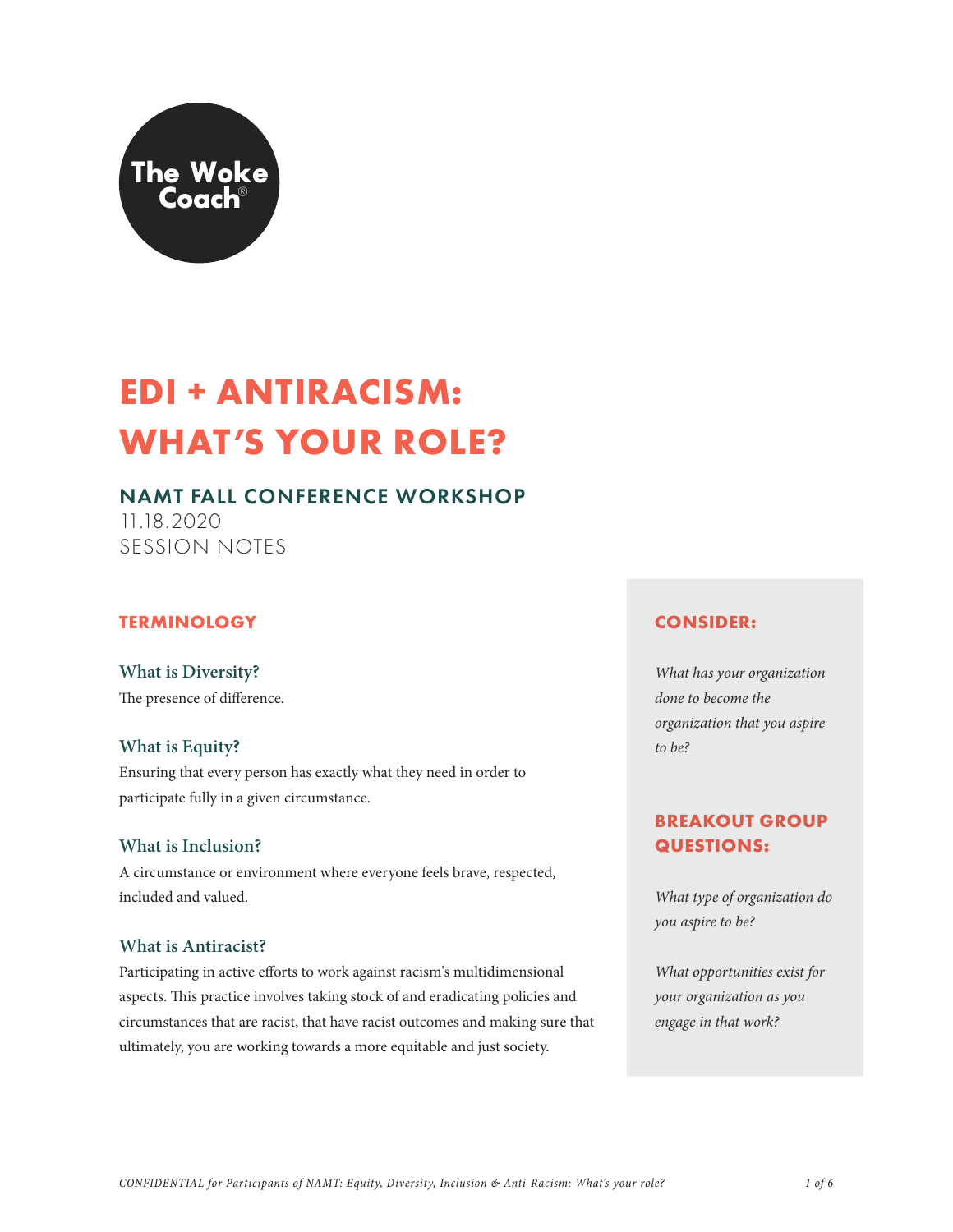

# **EDI + ANTIRACISM: WHAT'S YOUR ROLE?**

# NAMT FALL CONFERENCE WORKSHOP

11.18.2020 SESSION NOTES

## **TERMINOLOGY**

**What is Diversity?**  The presence of difference.

## **What is Equity?**

Ensuring that every person has exactly what they need in order to participate fully in a given circumstance.

## **What is Inclusion?**

A circumstance or environment where everyone feels brave, respected, included and valued.

## **What is Antiracist?**

Participating in active efforts to work against racism's multidimensional aspects. This practice involves taking stock of and eradicating policies and circumstances that are racist, that have racist outcomes and making sure that ultimately, you are working towards a more equitable and just society.

## **CONSIDER:**

*What has your organization done to become the organization that you aspire to be?* 

# **BREAKOUT GROUP QUESTIONS:**

*What type of organization do you aspire to be?*

*What opportunities exist for your organization as you engage in that work?*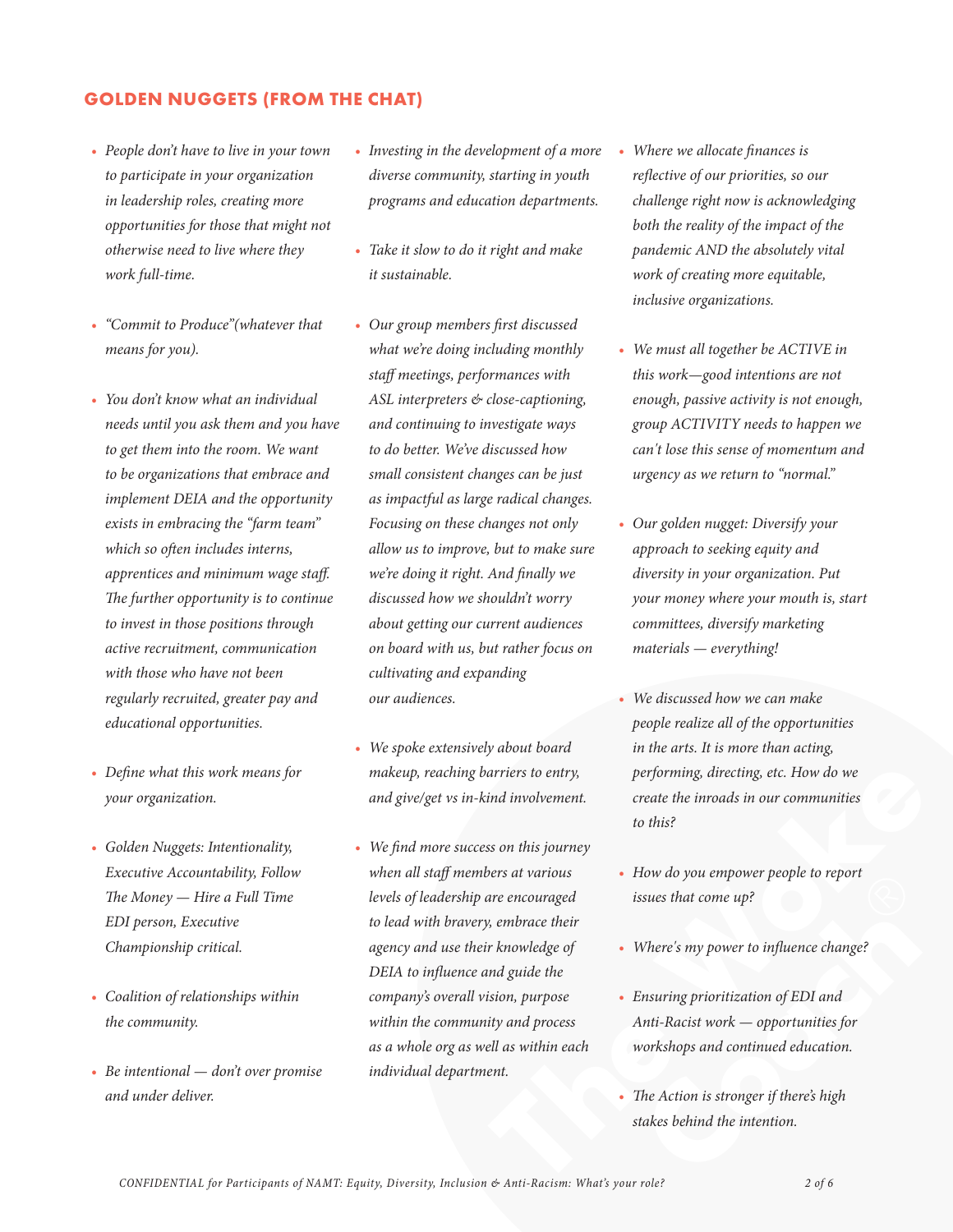#### **GOLDEN NUGGETS (FROM THE CHAT)**

- *• People don't have to live in your town to participate in your organization in leadership roles, creating more opportunities for those that might not otherwise need to live where they work full-time.*
- *• "Commit to Produce"(whatever that means for you).*
- *• You don't know what an individual needs until you ask them and you have to get them into the room. We want to be organizations that embrace and implement DEIA and the opportunity exists in embracing the "farm team" which so often includes interns, apprentices and minimum wage staff. The further opportunity is to continue to invest in those positions through active recruitment, communication with those who have not been regularly recruited, greater pay and educational opportunities.*
- *• Define what this work means for your organization.*
- *• Golden Nuggets: Intentionality, Executive Accountability, Follow The Money — Hire a Full Time EDI person, Executive Championship critical.*
- *• Coalition of relationships within the community.*
- *• Be intentional don't over promise and under deliver.*
- *• Investing in the development of a more diverse community, starting in youth programs and education departments.*
- *• Take it slow to do it right and make it sustainable.*
- *• Our group members first discussed what we're doing including monthly staff meetings, performances with ASL interpreters & close-captioning, and continuing to investigate ways to do better. We've discussed how small consistent changes can be just as impactful as large radical changes. Focusing on these changes not only allow us to improve, but to make sure we're doing it right. And finally we discussed how we shouldn't worry about getting our current audiences on board with us, but rather focus on cultivating and expanding our audiences.*
- *• We spoke extensively about board makeup, reaching barriers to entry, and give/get vs in-kind involvement.*
- arriers to entry, performing, directing, etc. How do we<br>
ind involvement.<br>
to this?<br>
so on this journey<br>
vers at various<br>
ers at various<br>
. How do you empower people to report<br>
are encouraged<br>
issues that come up?<br>
embrace *• We find more success on this journey when all staff members at various levels of leadership are encouraged to lead with bravery, embrace their agency and use their knowledge of DEIA to influence and guide the company's overall vision, purpose within the community and process as a whole org as well as within each individual department.*
- *• Where we allocate finances is reflective of our priorities, so our challenge right now is acknowledging both the reality of the impact of the pandemic AND the absolutely vital work of creating more equitable, inclusive organizations.*
- *• We must all together be ACTIVE in this work—good intentions are not enough, passive activity is not enough, group ACTIVITY needs to happen we can't lose this sense of momentum and urgency as we return to "normal."*
- *• Our golden nugget: Diversify your approach to seeking equity and diversity in your organization. Put your money where your mouth is, start committees, diversify marketing materials — everything!*
- *• We discussed how we can make people realize all of the opportunities in the arts. It is more than acting, performing, directing, etc. How do we create the inroads in our communities to this?*
- $\bigcirc$ *• How do you empower people to report issues that come up?*
- *• Where's my power to influence change?*
- *• Ensuring prioritization of EDI and Anti-Racist work — opportunities for workshops and continued education.*
- *• The Action is stronger if there's high stakes behind the intention.*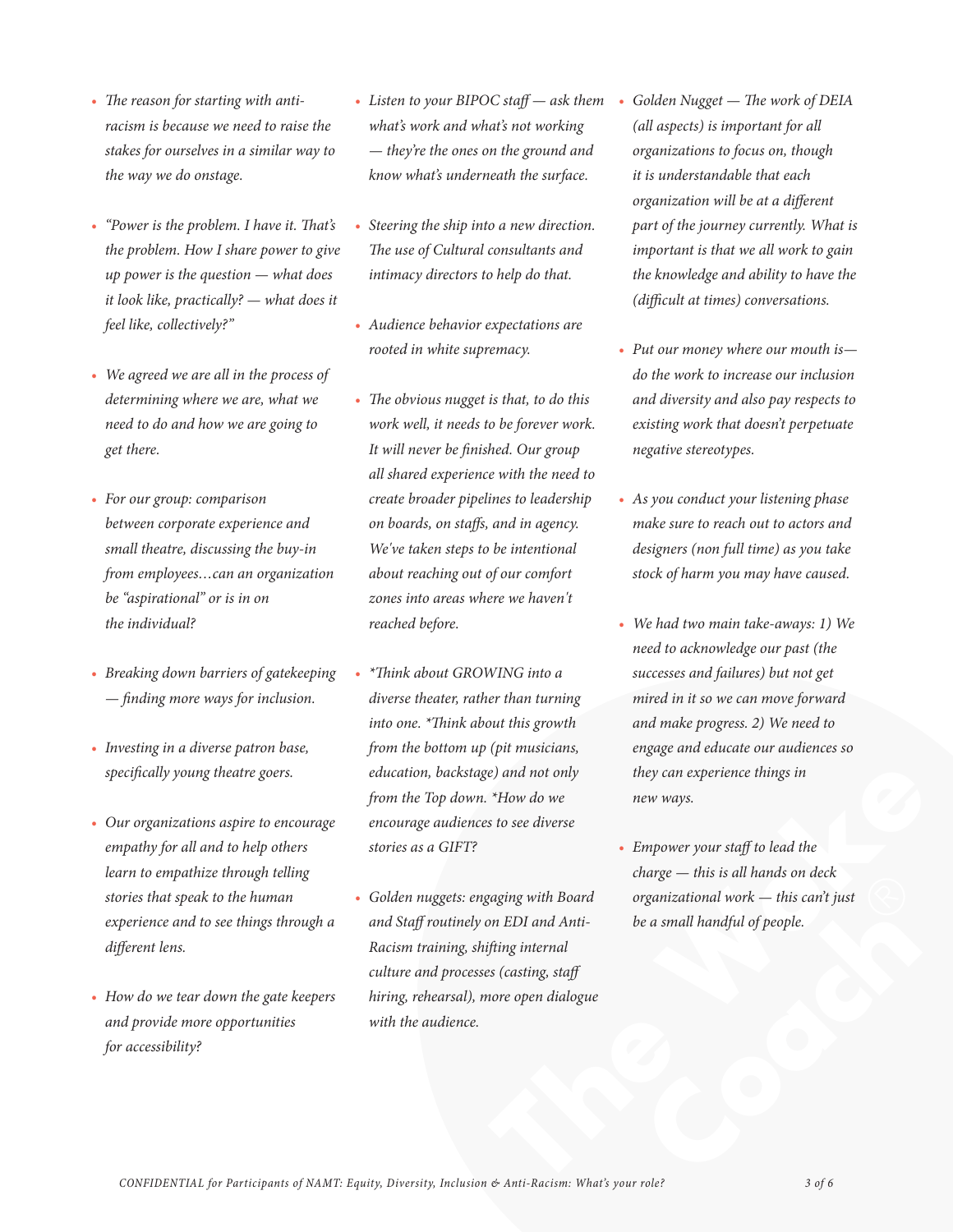- *• The reason for starting with antiracism is because we need to raise the stakes for ourselves in a similar way to the way we do onstage.*
- *• "Power is the problem. I have it. That's the problem. How I share power to give up power is the question — what does it look like, practically? — what does it feel like, collectively?"*
- *• We agreed we are all in the process of determining where we are, what we need to do and how we are going to get there.*
- *• For our group: comparison between corporate experience and small theatre, discussing the buy-in from employees…can an organization be "aspirational" or is in on the individual?*
- *• Breaking down barriers of gatekeeping — finding more ways for inclusion.*
- *• Investing in a diverse patron base, specifically young theatre goers.*
- *• Our organizations aspire to encourage empathy for all and to help others learn to empathize through telling stories that speak to the human experience and to see things through a different lens.*
- *• How do we tear down the gate keepers and provide more opportunities for accessibility?*
- *• Listen to your BIPOC staff ask them what's work and what's not working — they're the ones on the ground and know what's underneath the surface.*
- *• Steering the ship into a new direction. The use of Cultural consultants and intimacy directors to help do that.*
- *• Audience behavior expectations are rooted in white supremacy.*
- *• The obvious nugget is that, to do this work well, it needs to be forever work. It will never be finished. Our group all shared experience with the need to create broader pipelines to leadership on boards, on staffs, and in agency. We've taken steps to be intentional about reaching out of our comfort zones into areas where we haven't reached before.*
- *• \*Think about GROWING into a diverse theater, rather than turning into one. \*Think about this growth from the bottom up (pit musicians, education, backstage) and not only from the Top down. \*How do we encourage audiences to see diverse stories as a GIFT?*
- *• Golden nuggets: engaging with Board and Staff routinely on EDI and Anti-Racism training, shifting internal culture and processes (casting, staff hiring, rehearsal), more open dialogue with the audience.*
- *• Golden Nugget The work of DEIA (all aspects) is important for all organizations to focus on, though it is understandable that each organization will be at a different part of the journey currently. What is important is that we all work to gain the knowledge and ability to have the (difficult at times) conversations.*
- *• Put our money where our mouth is do the work to increase our inclusion and diversity and also pay respects to existing work that doesn't perpetuate negative stereotypes.*
- *• As you conduct your listening phase make sure to reach out to actors and designers (non full time) as you take stock of harm you may have caused.*
- *• We had two main take-aways: 1) We need to acknowledge our past (the successes and failures) but not get mired in it so we can move forward and make progress. 2) We need to engage and educate our audiences so they can experience things in new ways.*
- e) and not only<br>
they can experience things in<br>
"How do we<br>
are www.<br>
sto see diverse<br>  $\bullet$  Empower your staff to lead the<br>
charge this is all hands on deck<br>
organizational work this can't just<br>
on EDI and Anti-<br>
be a *• Empower your staff to lead the charge — this is all hands on deck organizational work — this can't just be a small handful of people.*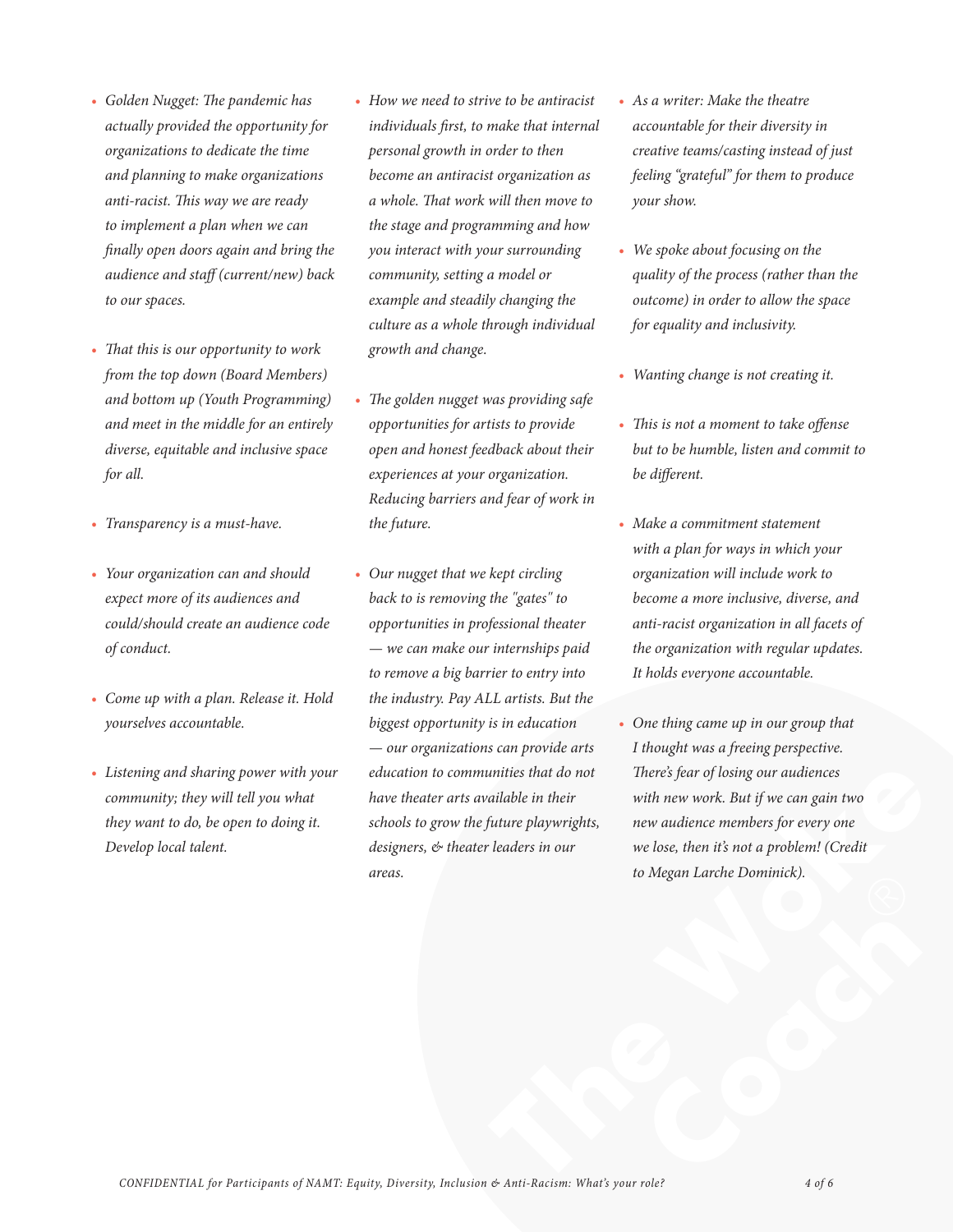- *• Golden Nugget: The pandemic has actually provided the opportunity for organizations to dedicate the time and planning to make organizations anti-racist. This way we are ready to implement a plan when we can finally open doors again and bring the audience and staff (current/new) back to our spaces.*
- *• That this is our opportunity to work from the top down (Board Members) and bottom up (Youth Programming) and meet in the middle for an entirely diverse, equitable and inclusive space for all.*
- *• Transparency is a must-have.*
- *• Your organization can and should expect more of its audiences and could/should create an audience code of conduct.*
- *• Come up with a plan. Release it. Hold yourselves accountable.*
- *• Listening and sharing power with your community; they will tell you what they want to do, be open to doing it. Develop local talent.*
- *• How we need to strive to be antiracist individuals first, to make that internal personal growth in order to then become an antiracist organization as a whole. That work will then move to the stage and programming and how you interact with your surrounding community, setting a model or example and steadily changing the culture as a whole through individual growth and change.*
- *• The golden nugget was providing safe opportunities for artists to provide open and honest feedback about their experiences at your organization. Reducing barriers and fear of work in the future.*
- *• Our nugget that we kept circling back to is removing the "gates" to opportunities in professional theater — we can make our internships paid to remove a big barrier to entry into the industry. Pay ALL artists. But the biggest opportunity is in education — our organizations can provide arts education to communities that do not have theater arts available in their schools to grow the future playwrights, designers, & theater leaders in our areas.*
- *• As a writer: Make the theatre accountable for their diversity in creative teams/casting instead of just feeling "grateful" for them to produce your show.*
- *• We spoke about focusing on the quality of the process (rather than the outcome) in order to allow the space for equality and inclusivity.*
- *• Wanting change is not creating it.*
- *• This is not a moment to take offense but to be humble, listen and commit to be different.*
- *• Make a commitment statement with a plan for ways in which your organization will include work to become a more inclusive, diverse, and anti-racist organization in all facets of the organization with regular updates. It holds everyone accountable.*
- unities that do not There's fear of losing our audiences<br>ailable in their with new work. But if we can gain two<br>future playwrights, new audience members for every one<br>leaders in our we lose, then it's not a problem! (Credi *• One thing came up in our group that I thought was a freeing perspective. There's fear of losing our audiences with new work. But if we can gain two new audience members for every one we lose, then it's not a problem! (Credit to Megan Larche Dominick).*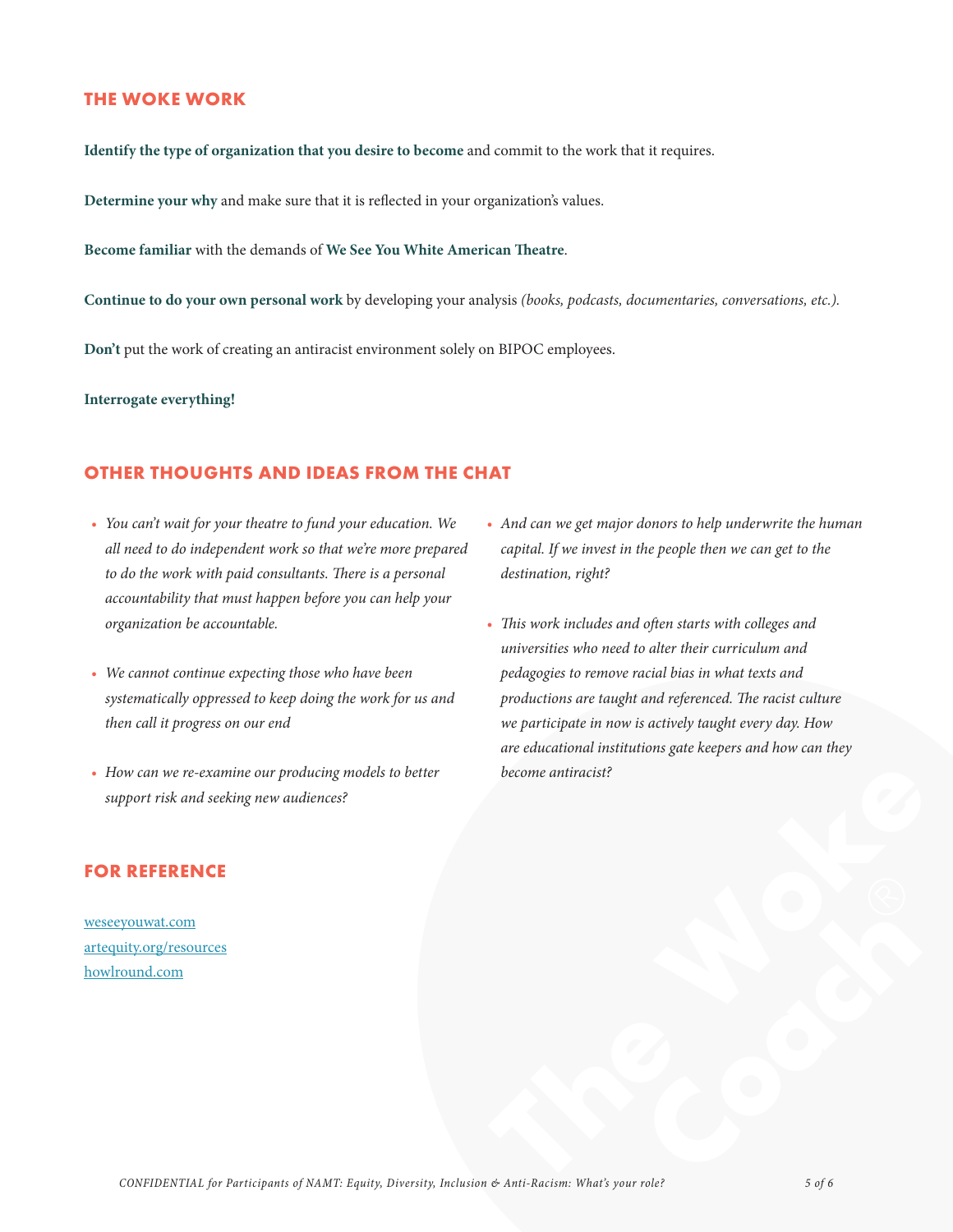#### **THE WOKE WORK**

**Identify the type of organization that you desire to become** and commit to the work that it requires.

**Determine your why** and make sure that it is reflected in your organization's values.

**Become familiar** with the demands of **We See You White American Theatre**.

**Continue to do your own personal work** by developing your analysis *(books, podcasts, documentaries, conversations, etc.).* 

**Don't** put the work of creating an antiracist environment solely on BIPOC employees.

**Interrogate everything!** 

#### **OTHER THOUGHTS AND IDEAS FROM THE CHAT**

- *• You can't wait for your theatre to fund your education. We all need to do independent work so that we're more prepared to do the work with paid consultants. There is a personal accountability that must happen before you can help your organization be accountable.*
- *• We cannot continue expecting those who have been systematically oppressed to keep doing the work for us and then call it progress on our end*
- *• How can we re-examine our producing models to better support risk and seeking new audiences?*

# *• And can we get major donors to help underwrite the human capital. If we invest in the people then we can get to the destination, right?*

become antiracist?<br> $\bigotimes$ <br> $\bigotimes$  Anti-Bacism: What's your rale?<br> $\bigotimes$  5 of 6 *• This work includes and often starts with colleges and universities who need to alter their curriculum and pedagogies to remove racial bias in what texts and productions are taught and referenced. The racist culture we participate in now is actively taught every day. How are educational institutions gate keepers and how can they become antiracist?*

#### **FOR REFERENCE**

weseeyouwat.com artequity.org/resources howlround.com